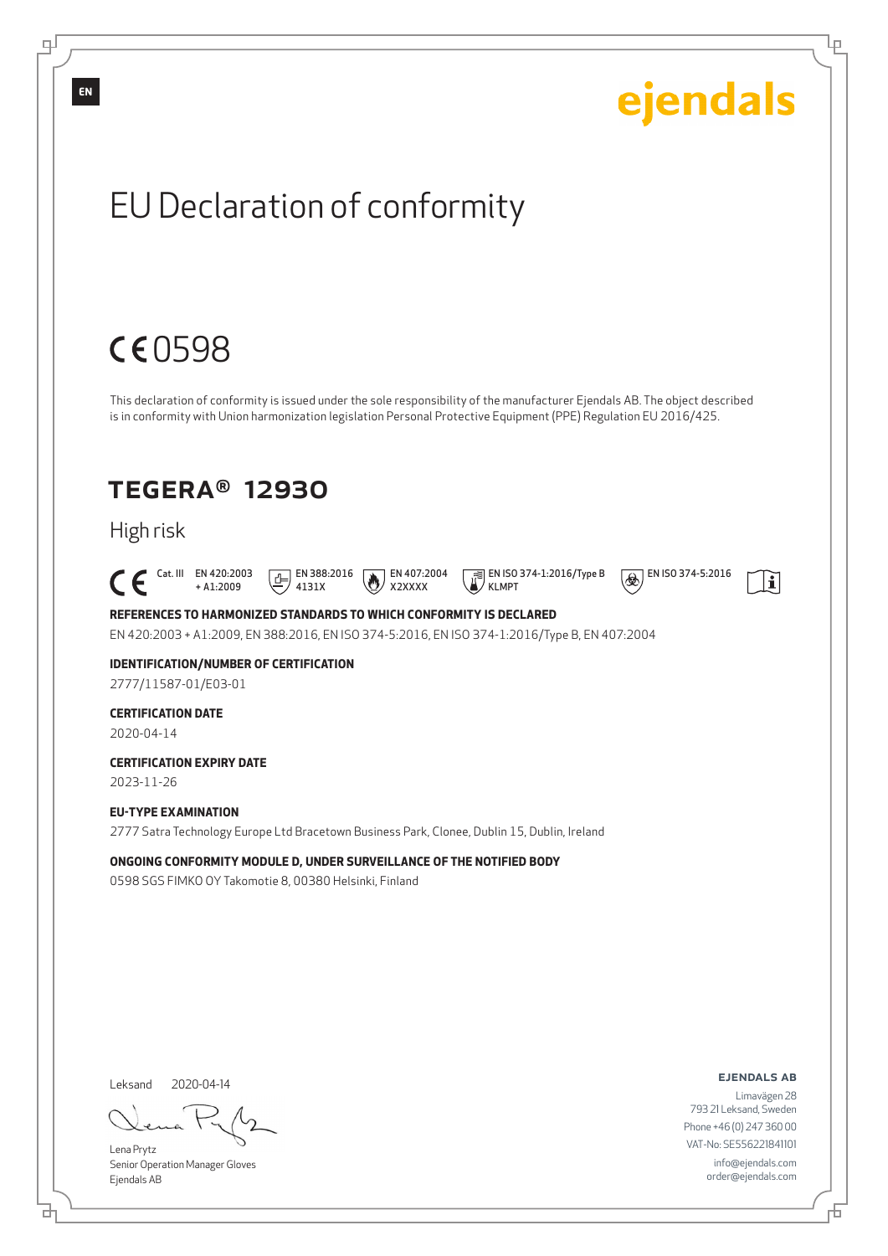

Senior Operation Manager Gloves Ejendals AB

브

டி

舌

Lр

info@ejendals.com order@ejendals.com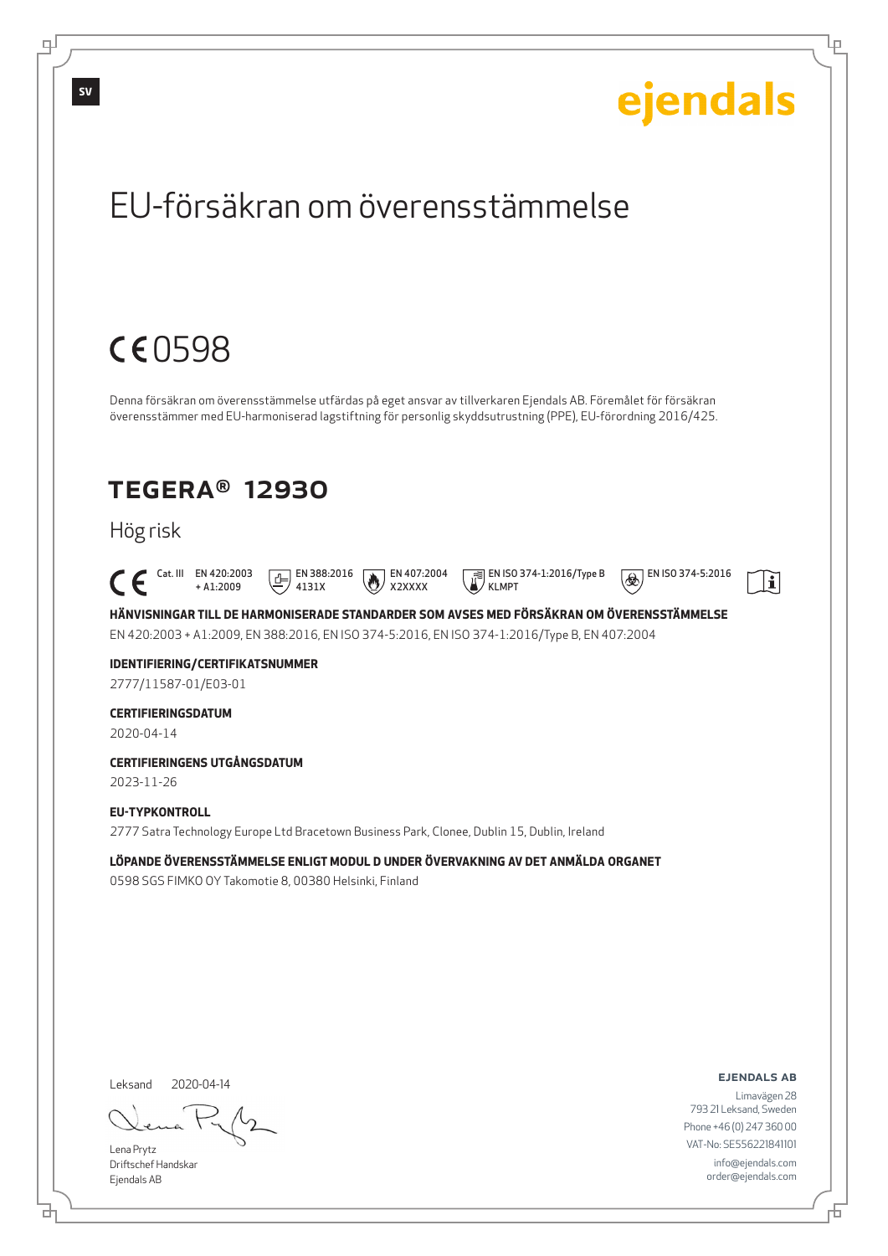

Lena Prytz Driftschef Handskar Ejendals AB

브

டி

VAT-No: SE556221841101 info@ejendals.com order@ejendals.com

舌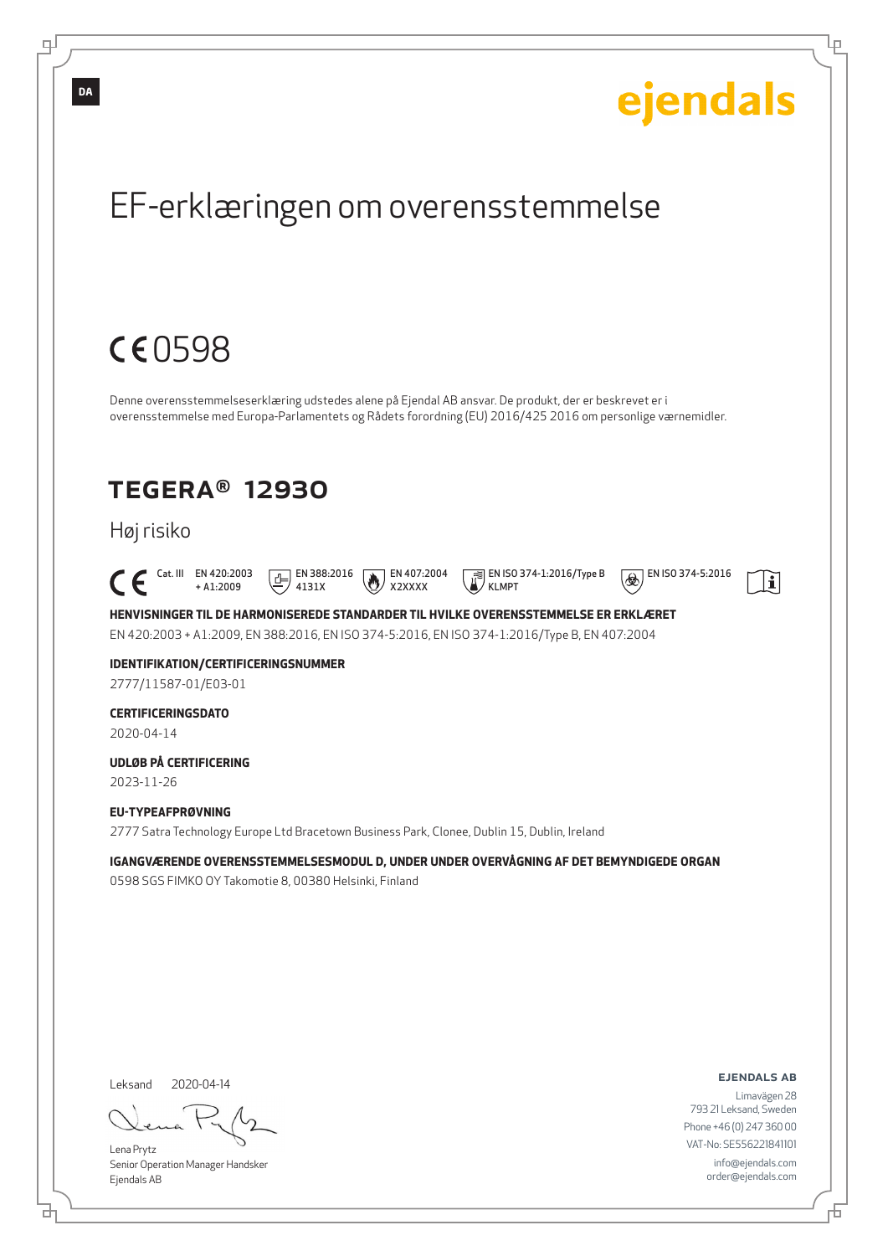

브

Đ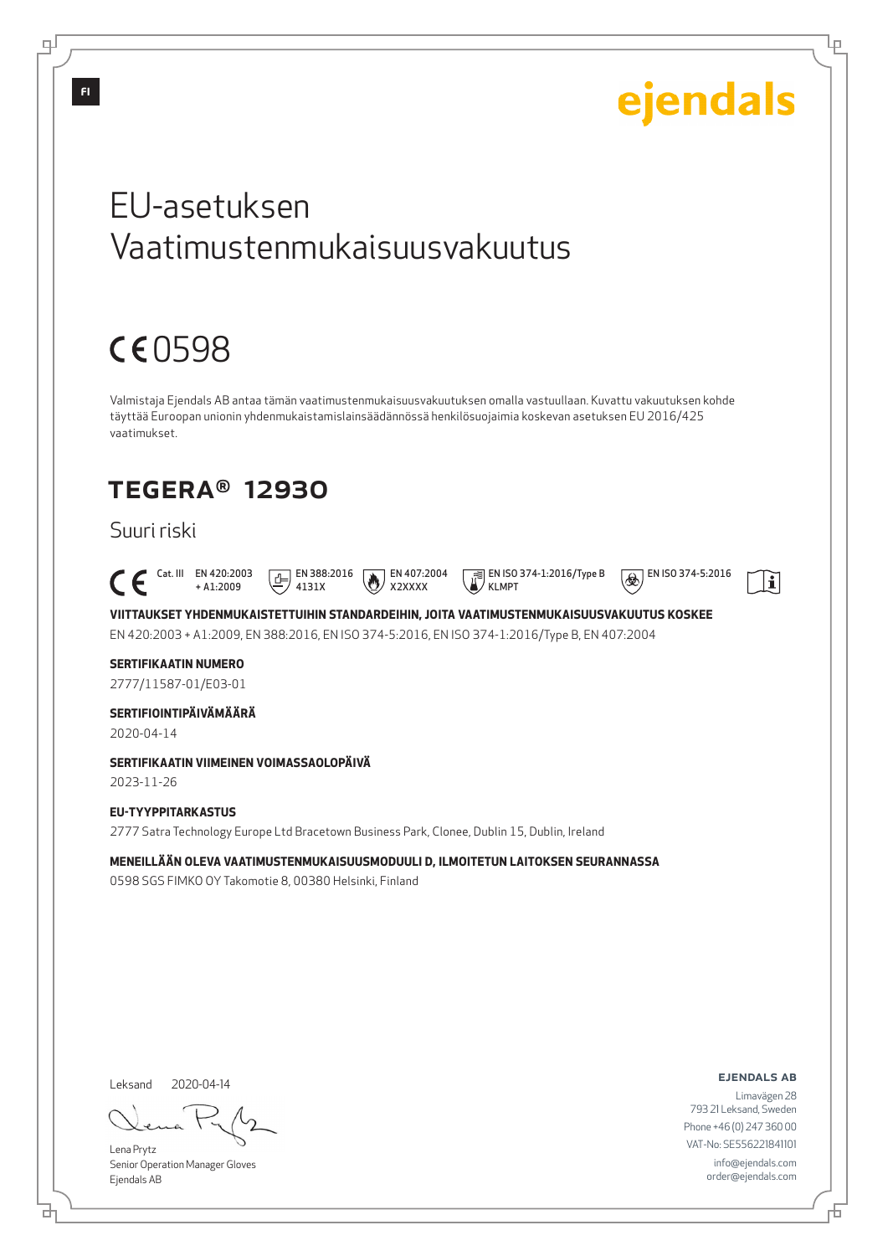

Lena Prytz Senior Operation Manager Gloves Ejendals AB

브

டி

VAT-No: SE556221841101 info@ejendals.com order@ejendals.com

Б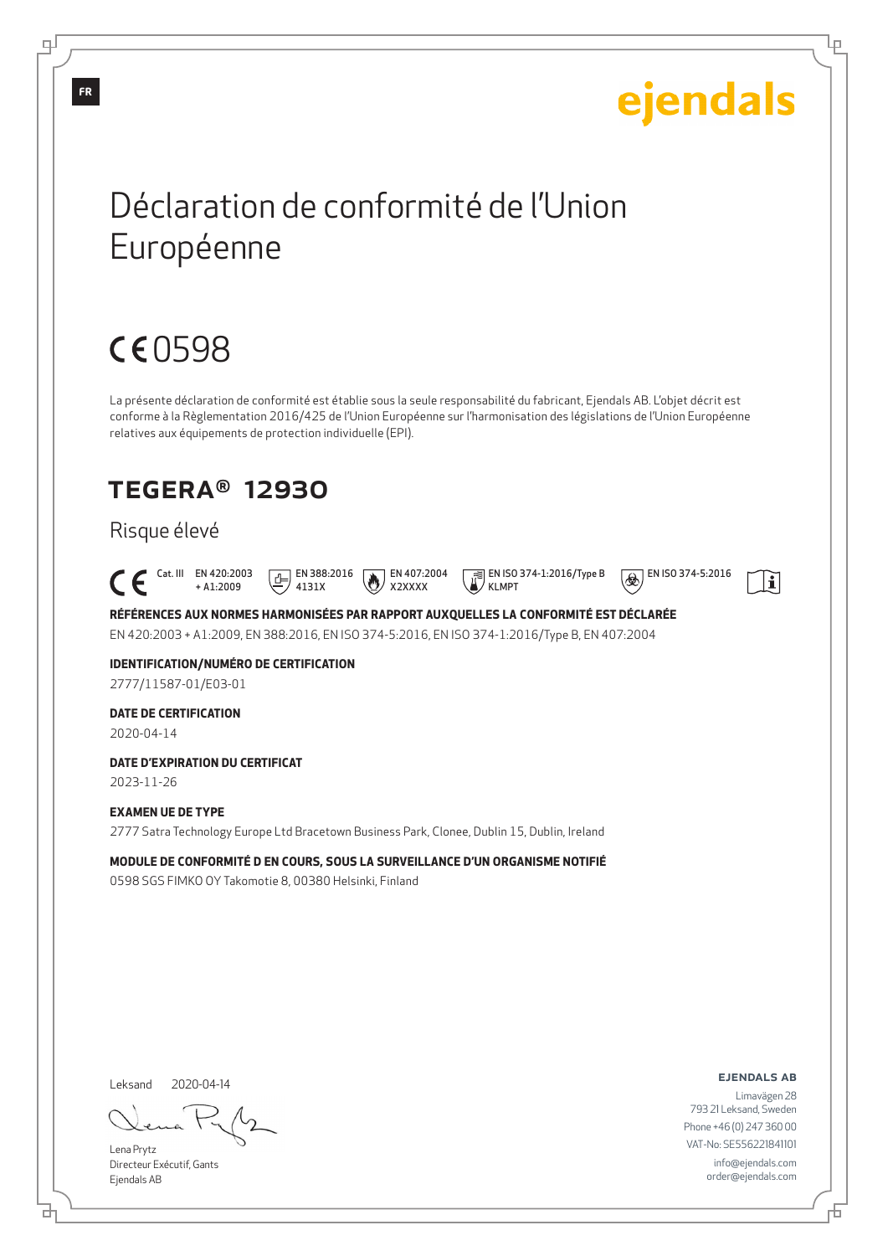# ejendals

Lр

 $\Theta$  EN ISO 374-5:2016

 $\mathbf{i}$ 

# Déclaration de conformité de l'Union Européenne

# CE0598

La présente déclaration de conformité est établie sous la seule responsabilité du fabricant, Ejendals AB. L'objet décrit est conforme à la Règlementation 2016/425 de l'Union Européenne sur l'harmonisation des législations de l'Union Européenne relatives aux équipements de protection individuelle (EPI).

# TEGERA® 12930

## Risque élevé

 Cat. III EN 420:2003 + A1:2009  $\boxed{E}$  EN 388:2016 4131X EN 407:2004 X2XXXX EN ISO 374-1:2016/Type B KLMPT

**RÉFÉRENCES AUX NORMES HARMONISÉES PAR RAPPORT AUXQUELLES LA CONFORMITÉ EST DÉCLARÉE** EN 420:2003 + A1:2009, EN 388:2016, EN ISO 374-5:2016, EN ISO 374-1:2016/Type B, EN 407:2004

### **IDENTIFICATION/NUMÉRO DE CERTIFICATION** 2777/11587-01/E03-01

### **DATE DE CERTIFICATION**

2020-04-14

### **DATE D'EXPIRATION DU CERTIFICAT**

2023-11-26

### **EXAMEN UE DE TYPE**

2777 Satra Technology Europe Ltd Bracetown Business Park, Clonee, Dublin 15, Dublin, Ireland

**MODULE DE CONFORMITÉ D EN COURS, SOUS LA SURVEILLANCE D'UN ORGANISME NOTIFIÉ**

0598 SGS FIMKO OY Takomotie 8, 00380 Helsinki, Finland

#### Leksand 2020-04-14

Lena Prytz Directeur Exécutif, Gants Ejendals AB

#### ejendals ab

Limavägen 28 793 21 Leksand, Sweden Phone +46 (0) 247 360 00 VAT-No: SE556221841101 info@ejendals.com order@ejendals.com

டி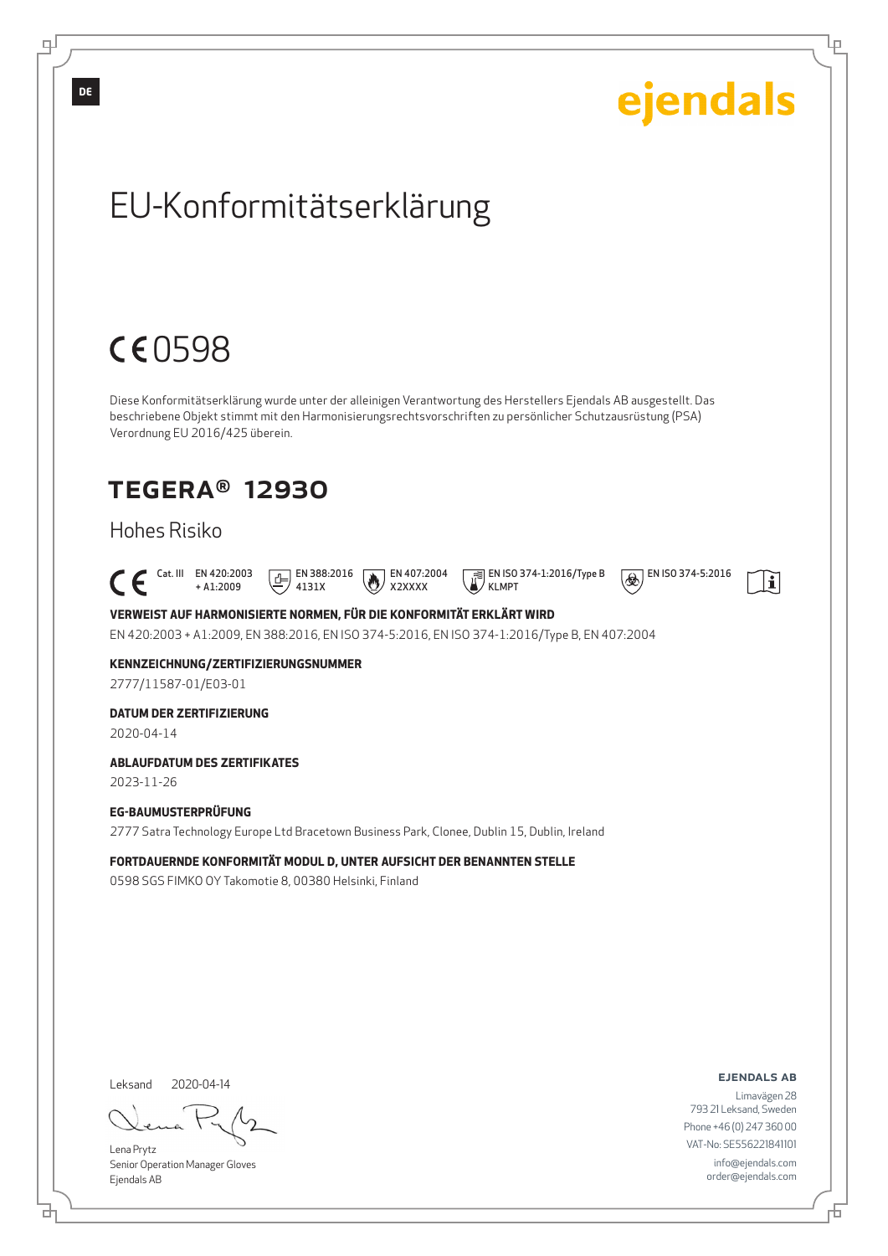

Senior Operation Manager Gloves Ejendals AB

브

டி

Lр

order@ejendals.com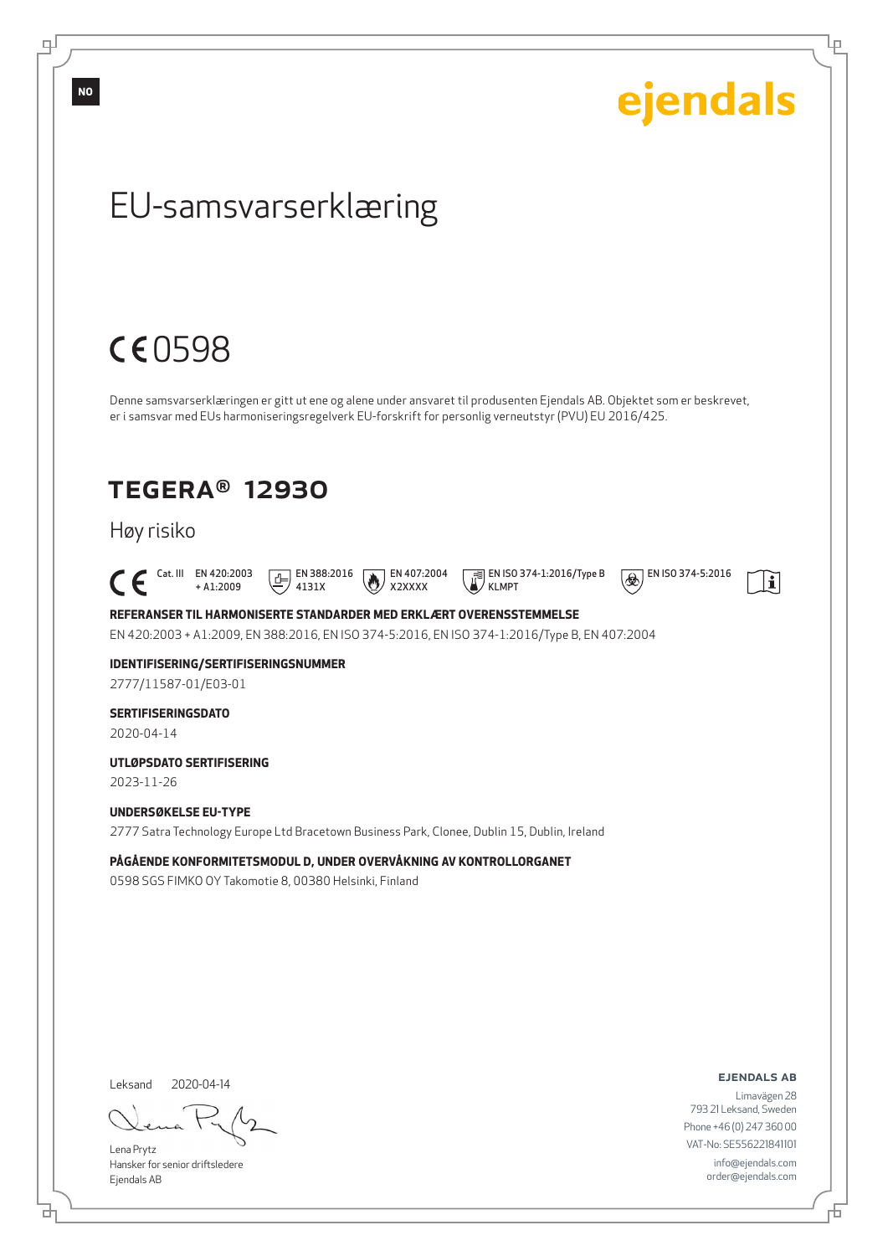

ejendals ab

 $\mathbf{i}$ 

Limavägen 28 793 21 Leksand, Sweden Phone +46 (0) 247 360 00 VAT-No: SE556221841101 info@ejendals.com order@ejendals.com

#### Leksand 2020-04-14

Lena Prytz Hansker for senior driftsledere Ejendals AB

브

Б

Ļμ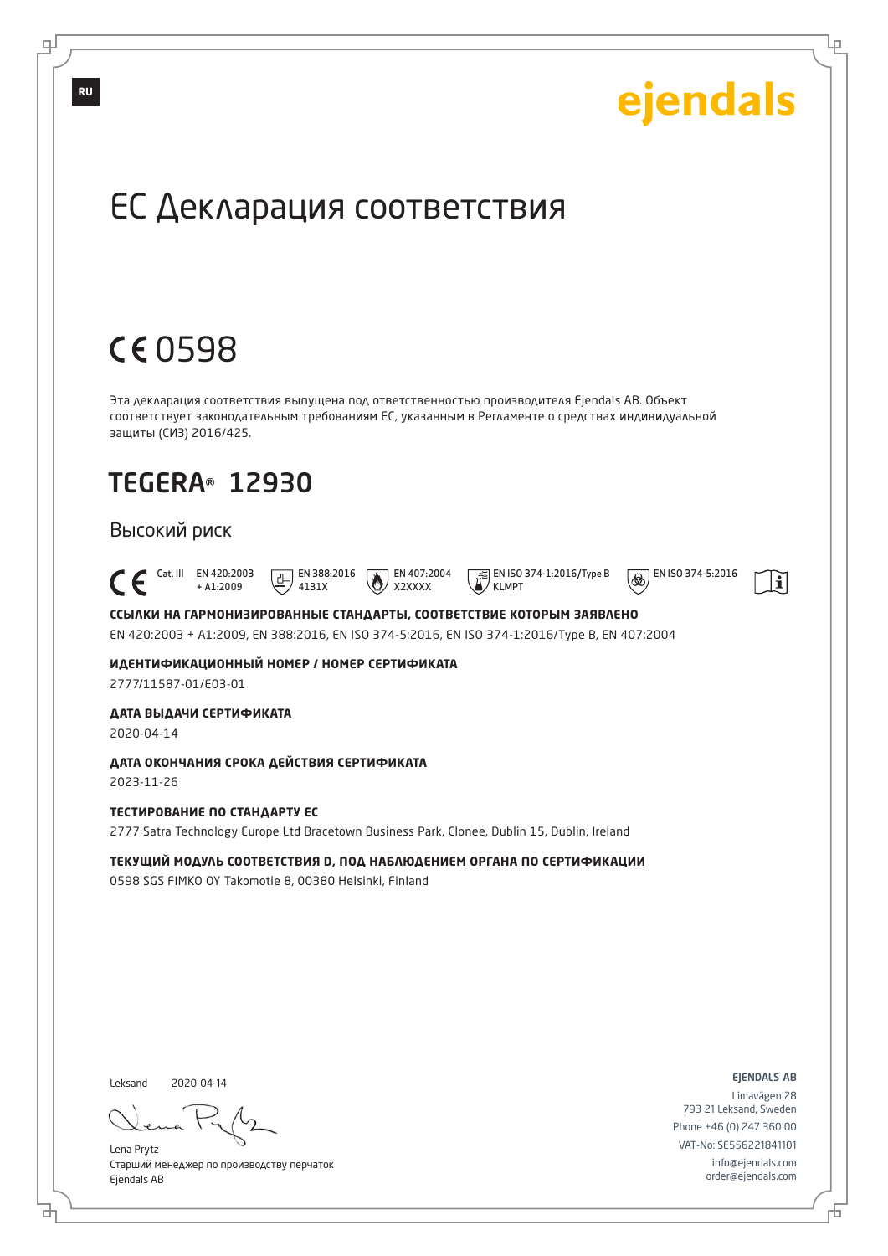

Старший менеджер по производству перчаток Ejendals AB

브

டி

info@ejendals.com order@ejendals.com

Đ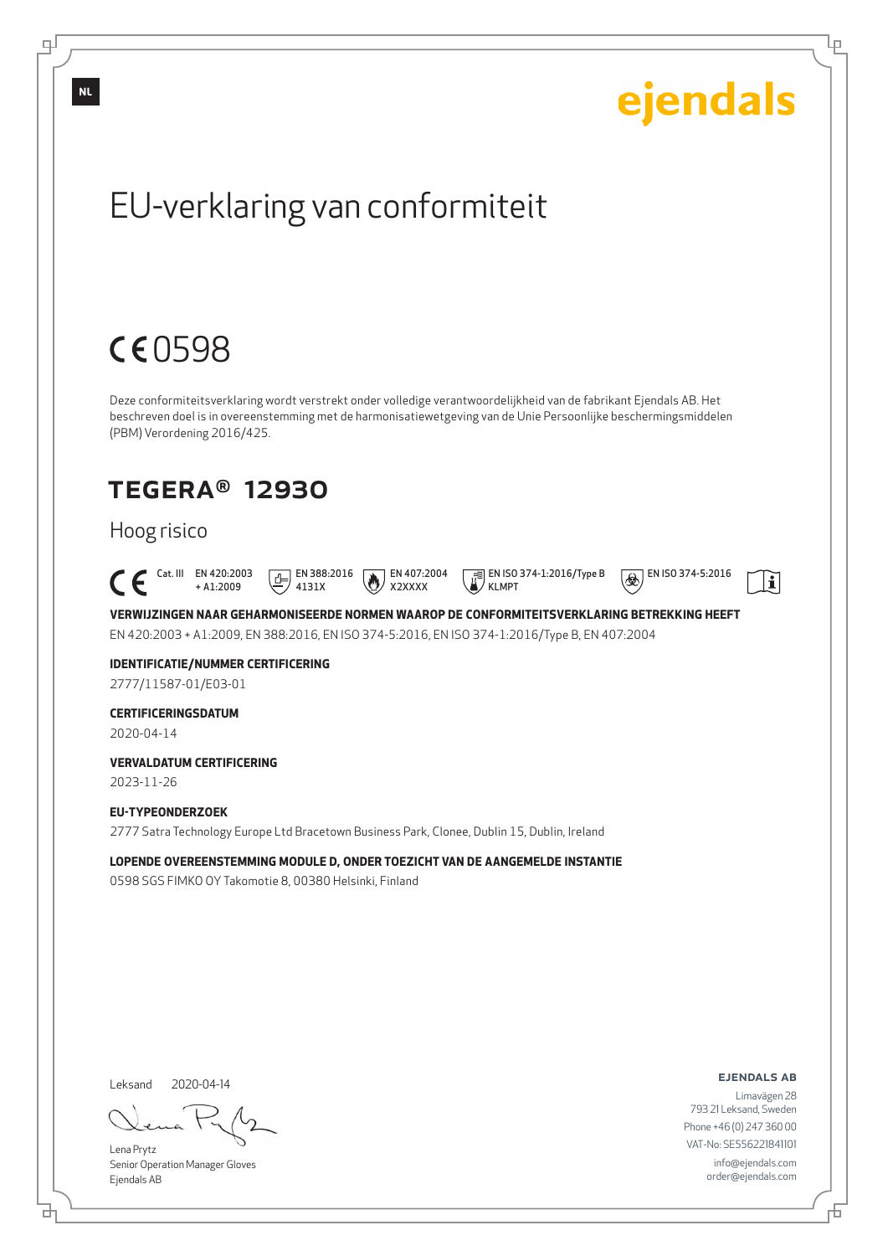

Senior Operation Manager Gloves Ejendals AB

브

டி

Б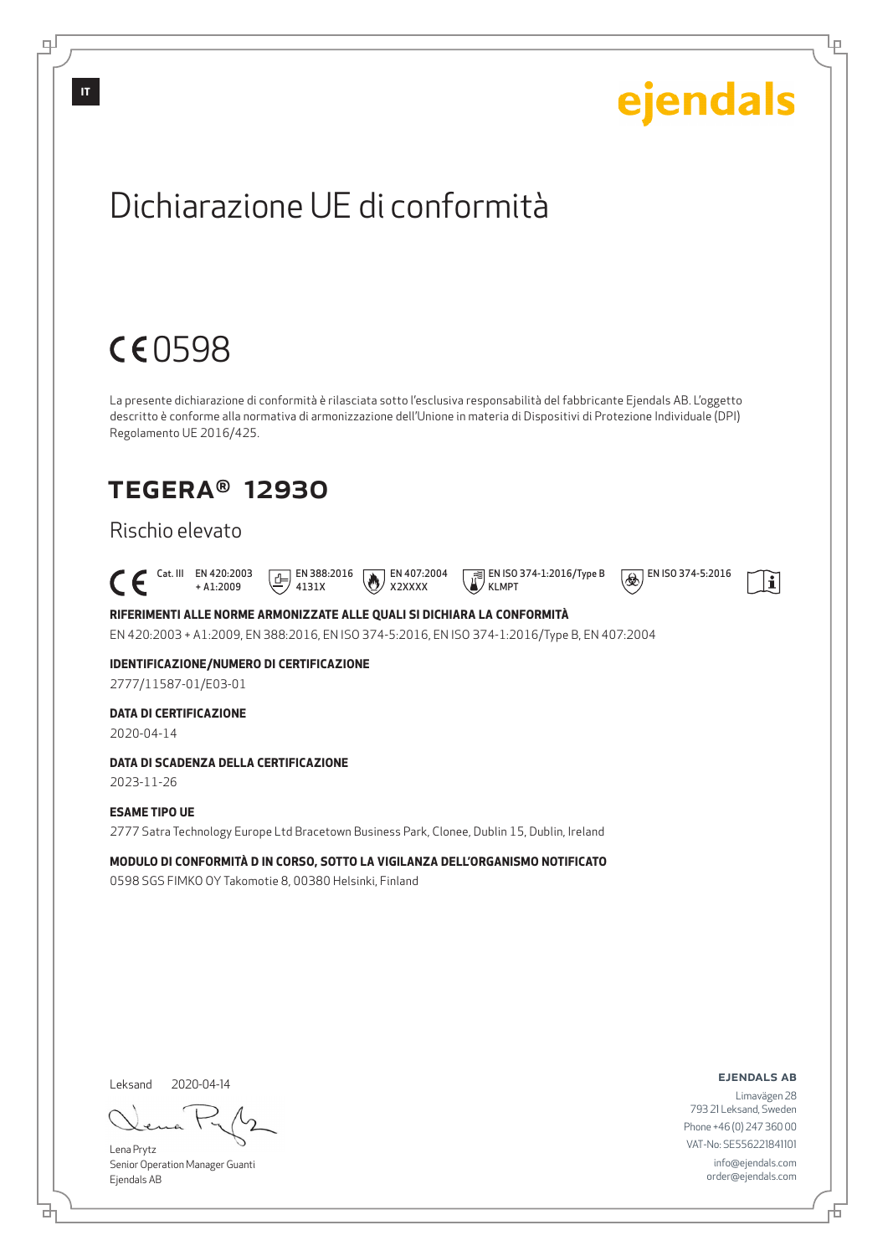

Lena Prytz Senior Operation Manager Guanti Ejendals AB

브

டி

Б

Lр

info@ejendals.com order@ejendals.com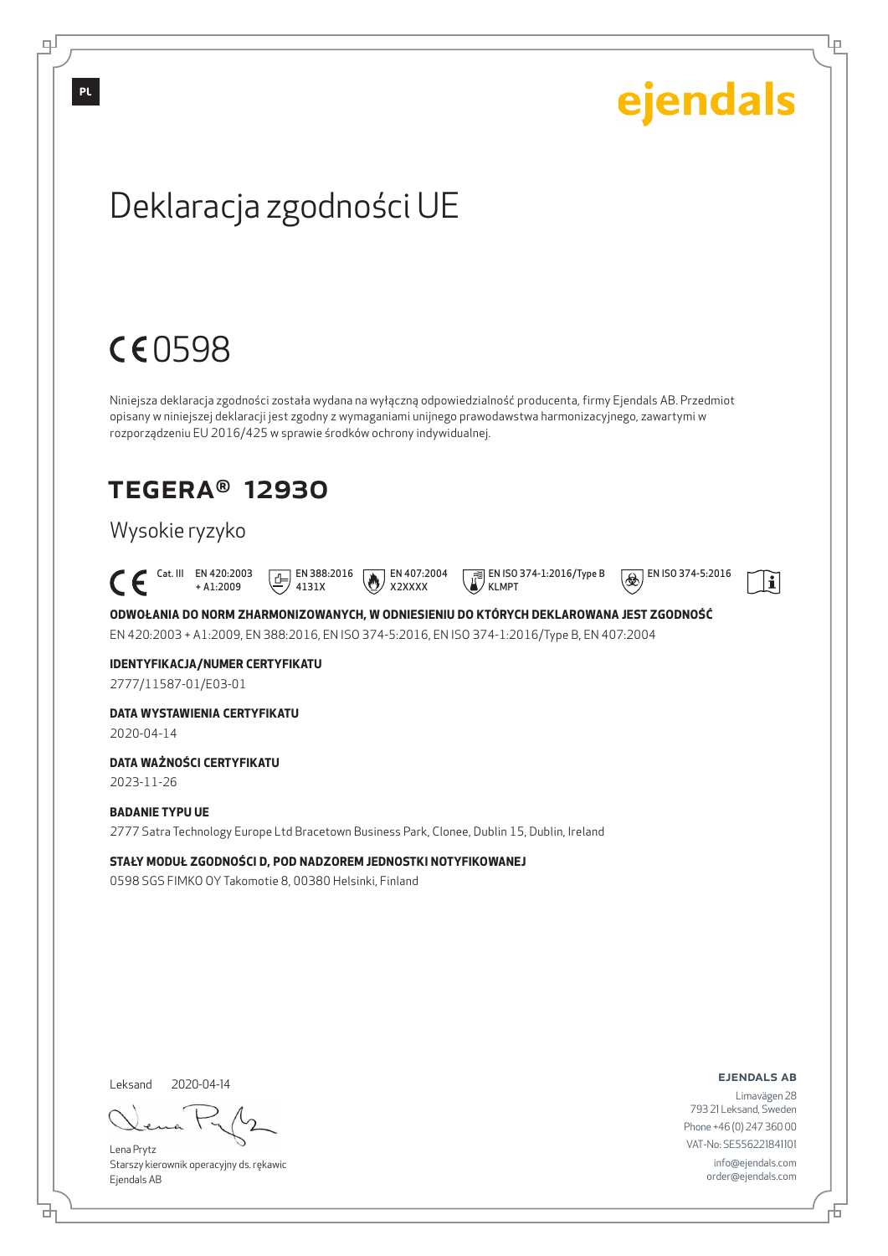

info@ejendals.com order@ejendals.com

Б

Lр

Lena Prytz Starszy kierownik operacyjny ds. rękawic Ejendals AB

브

டி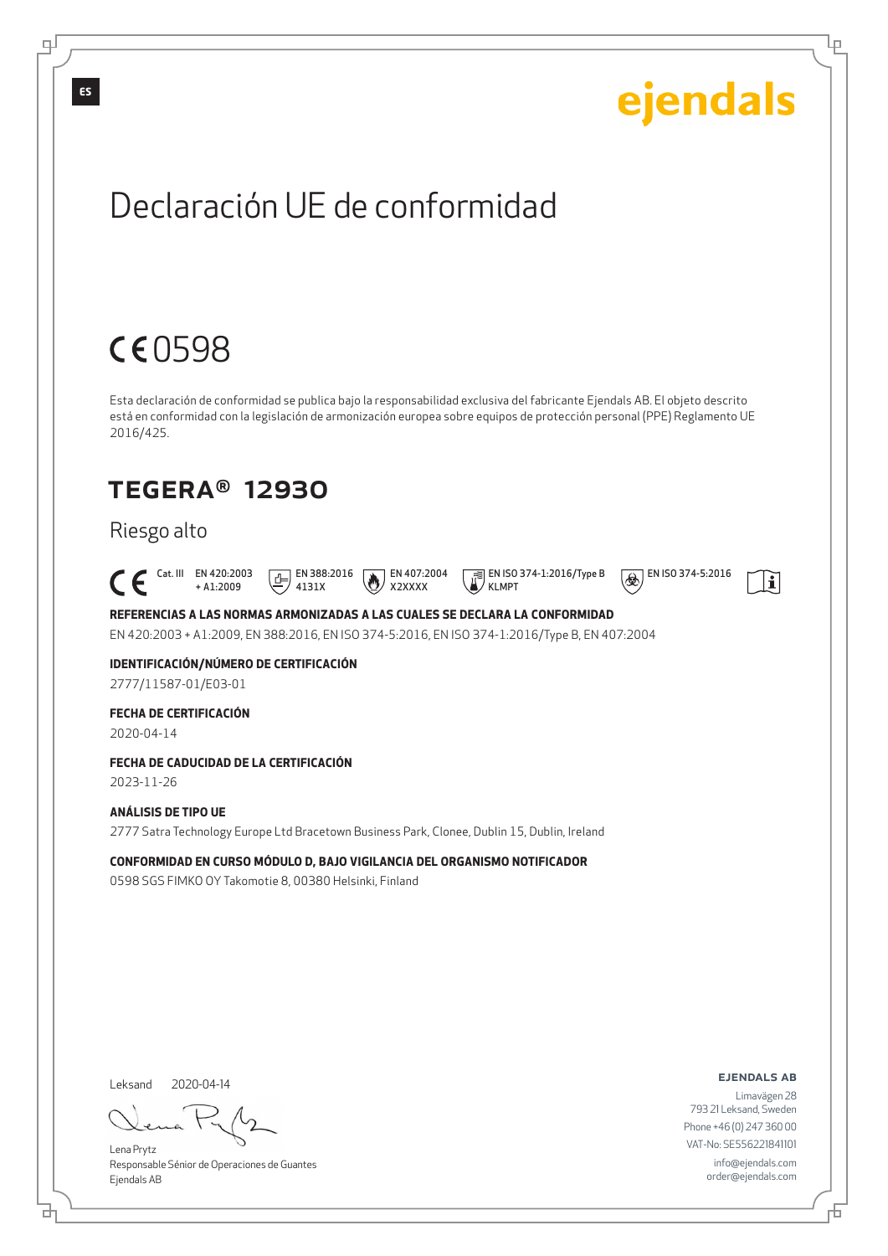

Lena Prytz Responsable Sénior de Operaciones de Guantes Ejendals AB

브

info@ejendals.com order@ejendals.com

டி

Đ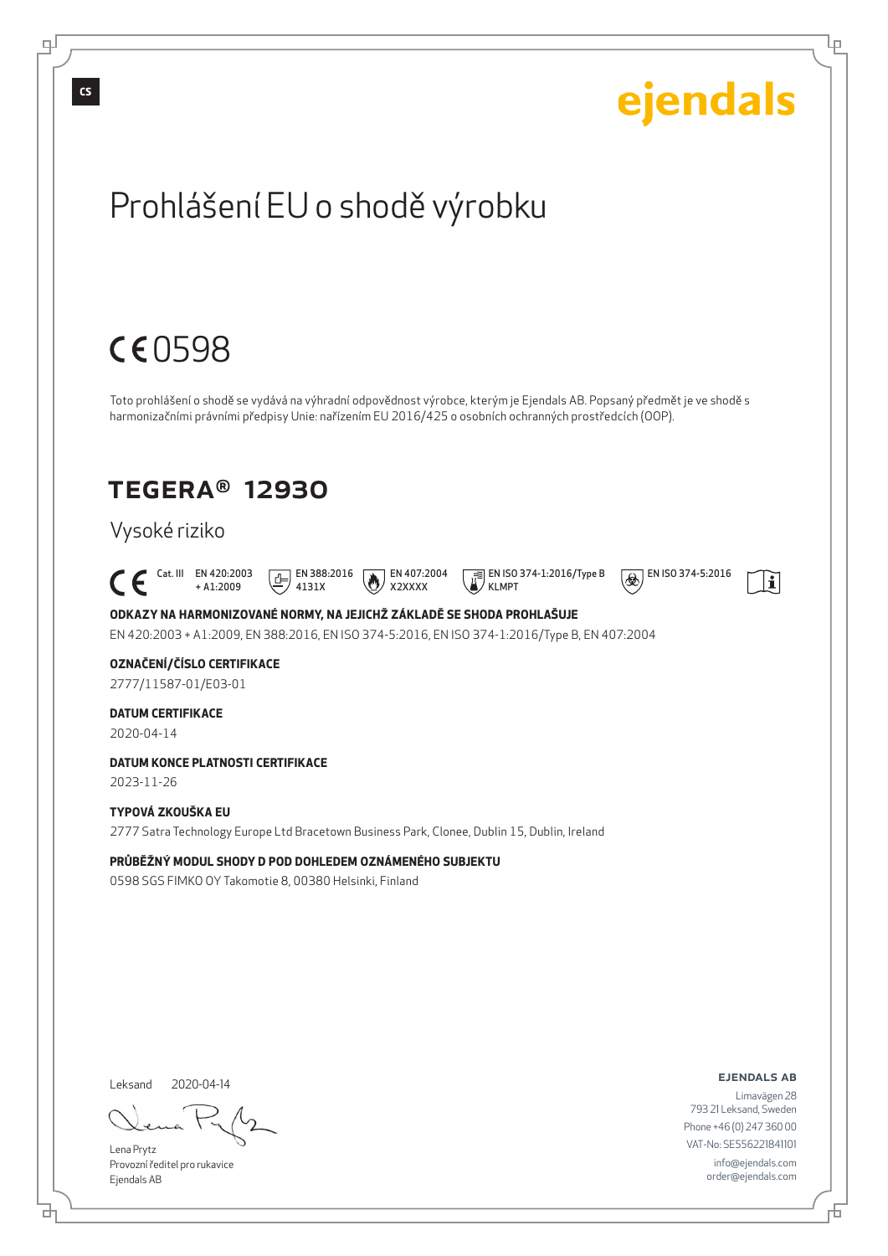

Đ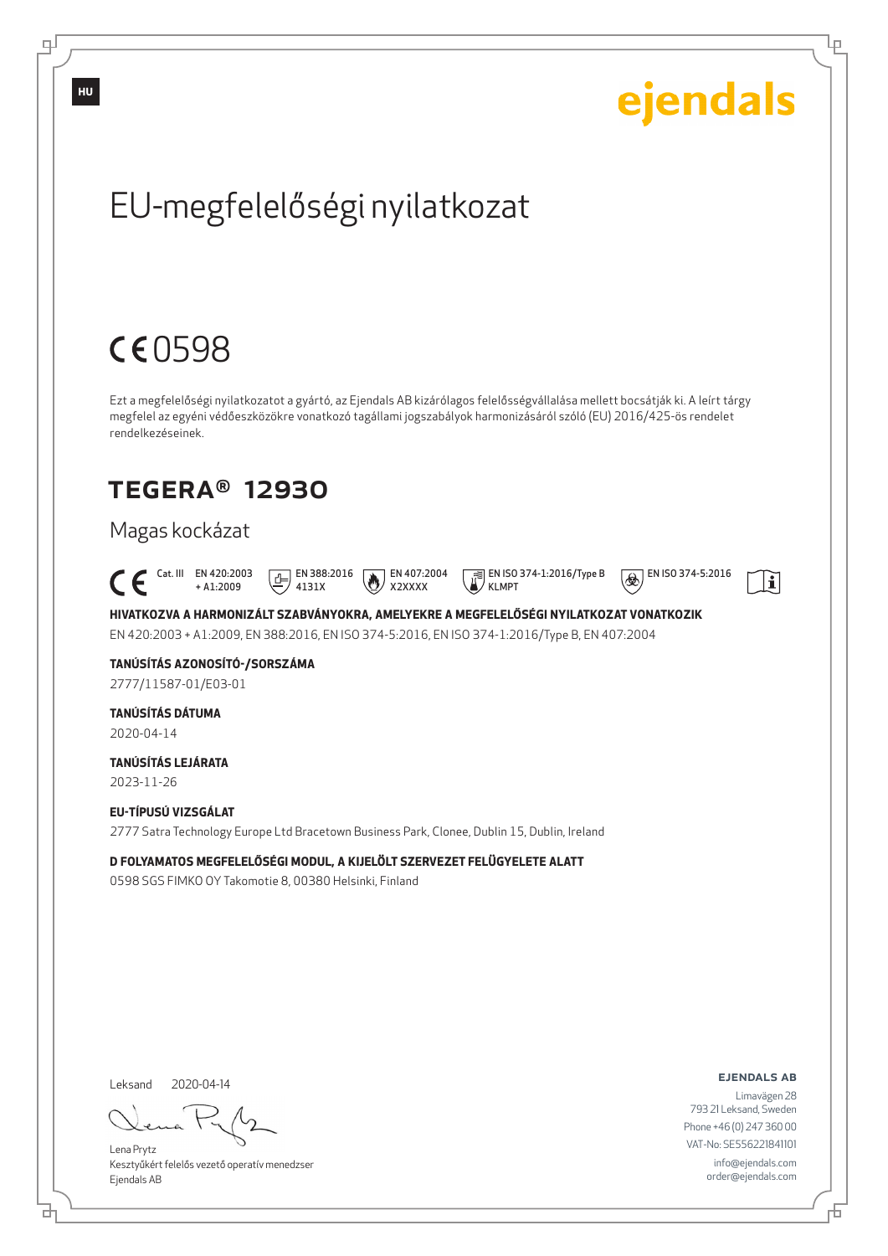

Đ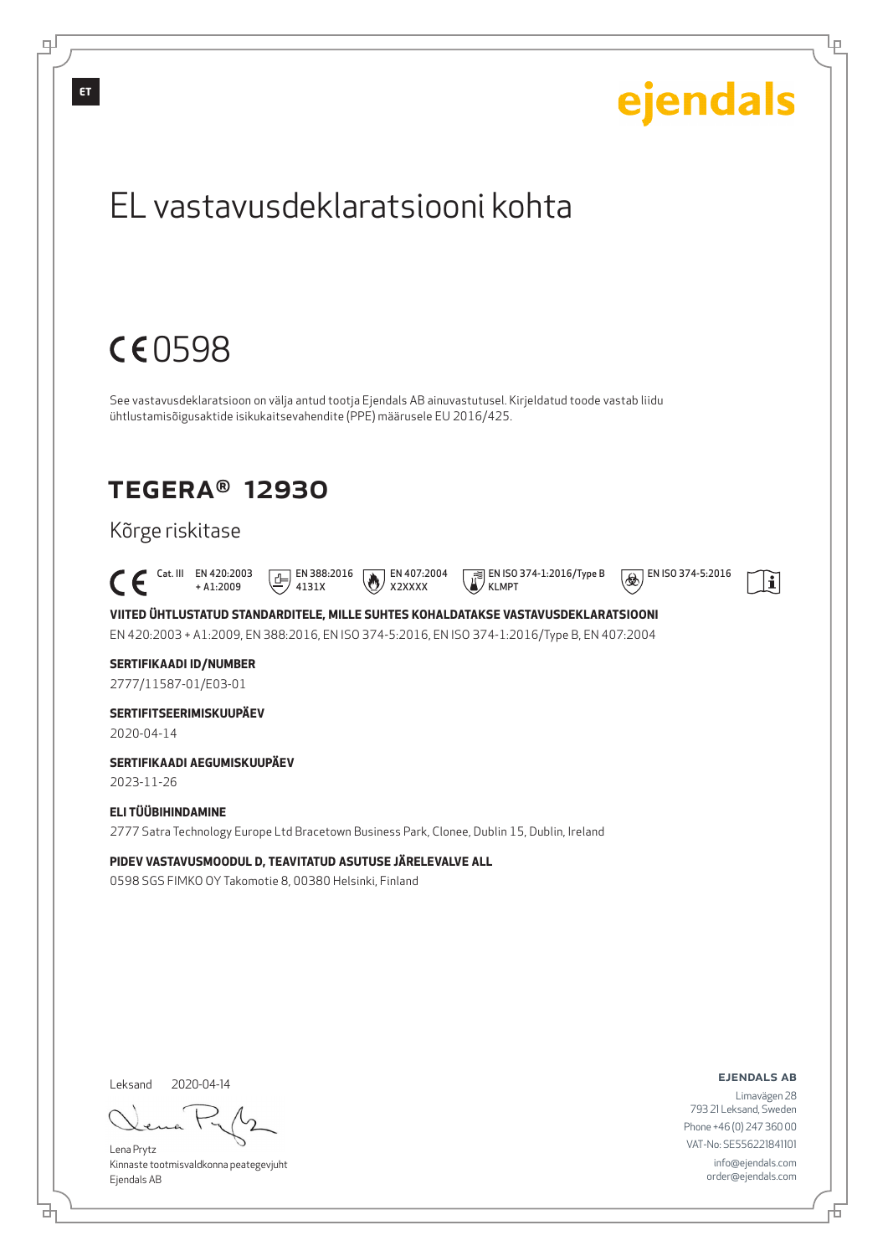

브

Б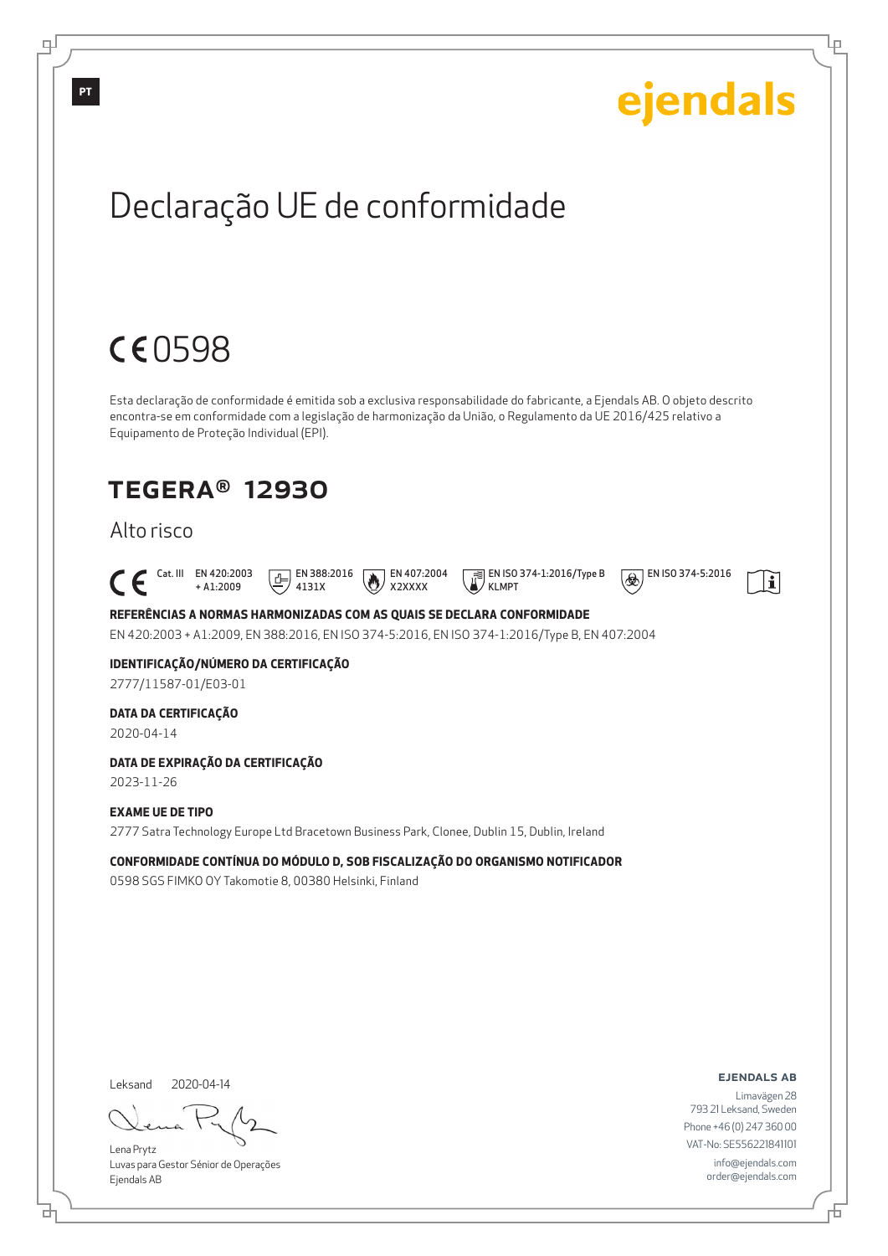

info@ejendals.com order@ejendals.com

Б

Lр

Lena Prytz Luvas para Gestor Sénior de Operações Ejendals AB

브

டி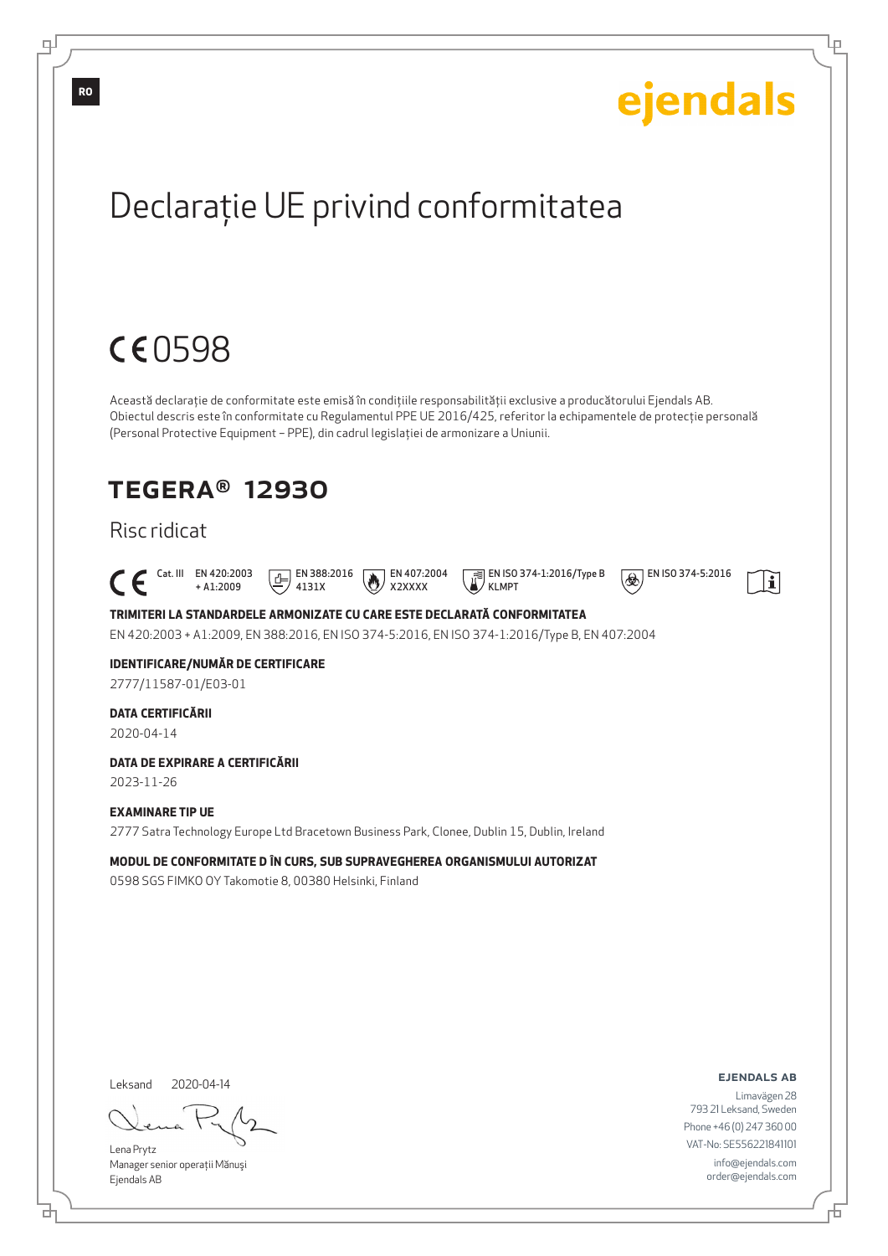

Leksand 2020-04-14

브

Lena Prytz Manager senior operaţii Mănuşi Ejendals AB

ejendals ab

Limavägen 28 793 21 Leksand, Sweden Phone +46 (0) 247 360 00 VAT-No: SE556221841101 info@ejendals.com order@ejendals.com

Б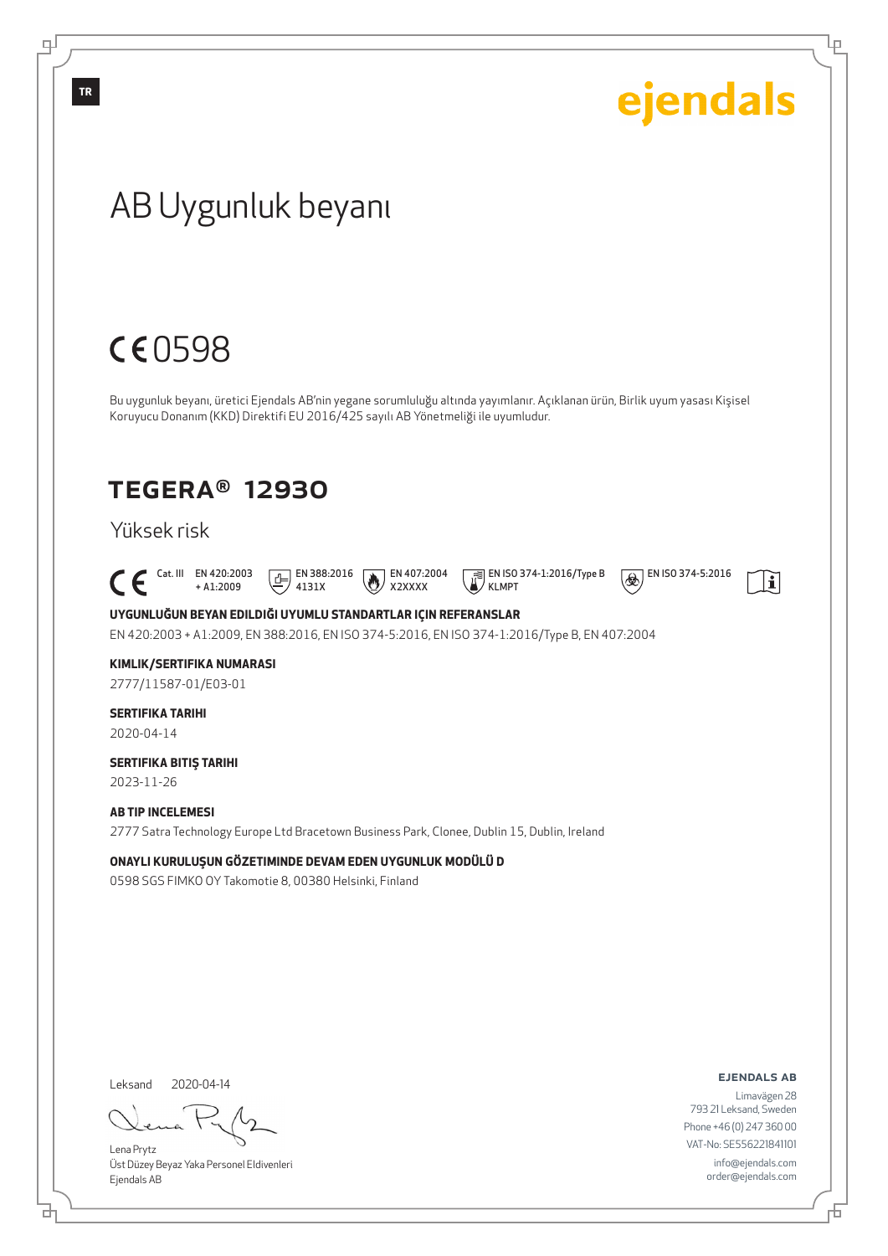# ejendals **TR**AB Uygunluk beyanı CE0598 Bu uygunluk beyanı, üretici Ejendals AB'nin yegane sorumluluğu altında yayımlanır. Açıklanan ürün, Birlik uyum yasası Kişisel Koruyucu Donanım (KKD) Direktifi EU 2016/425 sayılı AB Yönetmeliği ile uyumludur. TEGERA® 12930 Yüksek risk  $\begin{bmatrix} \begin{array}{ccc} \text{Cat. III} & \text{EN }420:2003 \\ + & \text{AL:}2009 \end{array} \end{bmatrix}$  $E$  EN 388:2016  $\bigotimes$  EN 407:2004 EN ISO 374-1:2016/Type B  $\circledR$  EN ISO 374-5:2016  $\mathbf{i}$ + A1:2009 4131X X2XXXX KLMPT **UYGUNLUĞUN BEYAN EDILDIĞI UYUMLU STANDARTLAR IÇIN REFERANSLAR** EN 420:2003 + A1:2009, EN 388:2016, EN ISO 374-5:2016, EN ISO 374-1:2016/Type B, EN 407:2004 **KIMLIK/SERTIFIKA NUMARASI** 2777/11587-01/E03-01 **SERTIFIKA TARIHI** 2020-04-14 **SERTIFIKA BITIŞ TARIHI** 2023-11-26 **AB TIP INCELEMESI** 2777 Satra Technology Europe Ltd Bracetown Business Park, Clonee, Dublin 15, Dublin, Ireland **ONAYLI KURULUŞUN GÖZETIMINDE DEVAM EDEN UYGUNLUK MODÜLÜ D** 0598 SGS FIMKO OY Takomotie 8, 00380 Helsinki, Finland ejendals ab Leksand 2020-04-14 Limavägen 28

Lena Prytz Üst Düzey Beyaz Yaka Personel Eldivenleri Ejendals AB

브

டி

793 21 Leksand, Sweden Phone +46 (0) 247 360 00 VAT-No: SE556221841101 info@ejendals.com order@ejendals.com

Б

Ļμ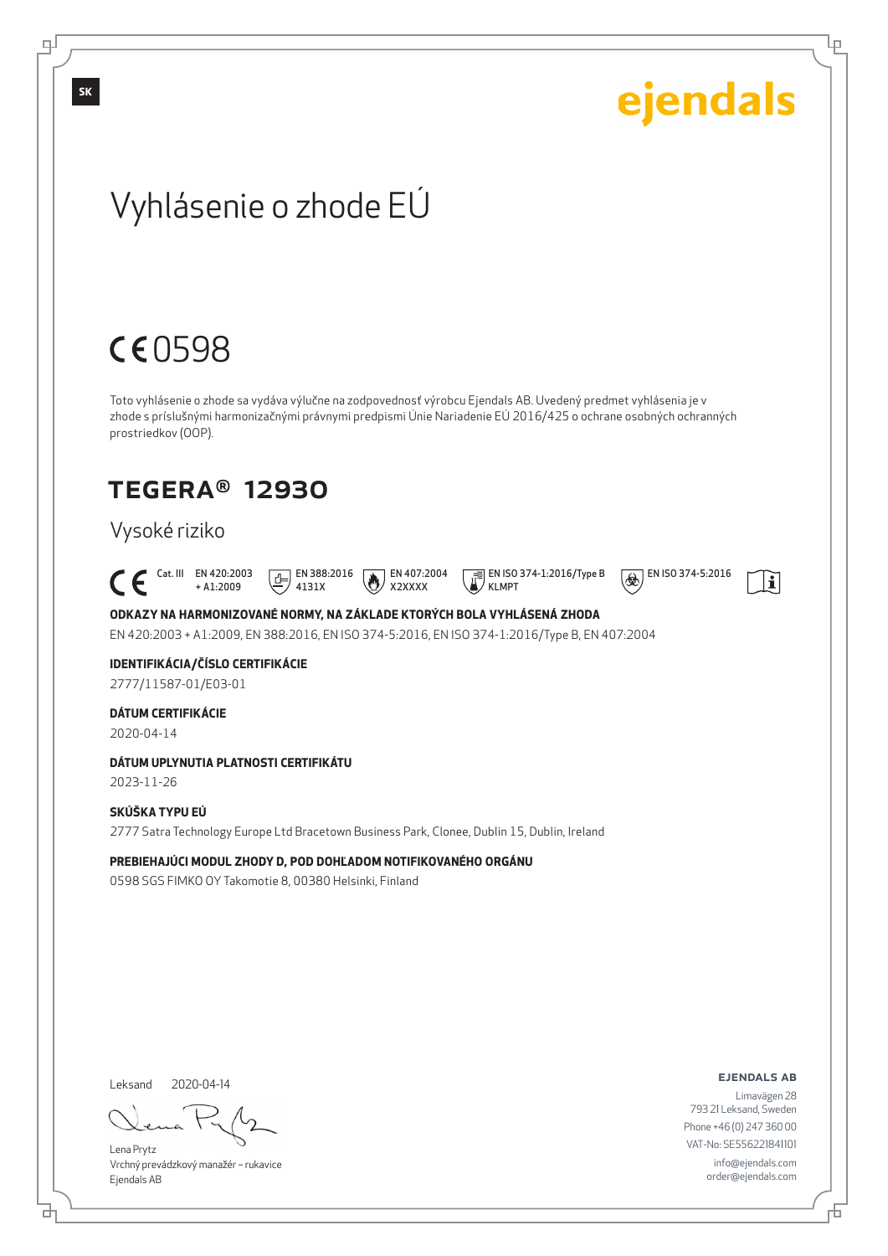# ejendals

Lр

# Vyhlásenie o zhode EÚ

# CE0598

Toto vyhlásenie o zhode sa vydáva výlučne na zodpovednosť výrobcu Ejendals AB. Uvedený predmet vyhlásenia je v zhode s príslušnými harmonizačnými právnymi predpismi Únie Nariadenie EÚ 2016/425 o ochrane osobných ochranných prostriedkov (OOP).

# TEGERA® 12930

# Vysoké riziko

 Cat. III EN 420:2003 + A1:2009  $E$  EN 388:2016 4131X

EN 407:2004 X2XXXX

KLMPT

EN ISO 374-1:2016/Type B

 $\circledR$  EN ISO 374-5:2016

 $\mathbf{i}$ 

## **ODKAZY NA HARMONIZOVANÉ NORMY, NA ZÁKLADE KTORÝCH BOLA VYHLÁSENÁ ZHODA**

EN 420:2003 + A1:2009, EN 388:2016, EN ISO 374-5:2016, EN ISO 374-1:2016/Type B, EN 407:2004

# **IDENTIFIKÁCIA/ČÍSLO CERTIFIKÁCIE**

2777/11587-01/E03-01

### **DÁTUM CERTIFIKÁCIE**

2020-04-14

### **DÁTUM UPLYNUTIA PLATNOSTI CERTIFIKÁTU**

2023-11-26

# **SKÚŠKA TYPU EÚ**

2777 Satra Technology Europe Ltd Bracetown Business Park, Clonee, Dublin 15, Dublin, Ireland

#### **PREBIEHAJÚCI MODUL ZHODY D, POD DOHĽADOM NOTIFIKOVANÉHO ORGÁNU**

0598 SGS FIMKO OY Takomotie 8, 00380 Helsinki, Finland

Leksand 2020-04-14

Lena Prytz Vrchný prevádzkový manažér – rukavice Ejendals AB

#### ejendals ab

Б

Limavägen 28 793 21 Leksand, Sweden Phone +46 (0) 247 360 00 VAT-No: SE556221841101 info@ejendals.com order@ejendals.com

டி

**SK**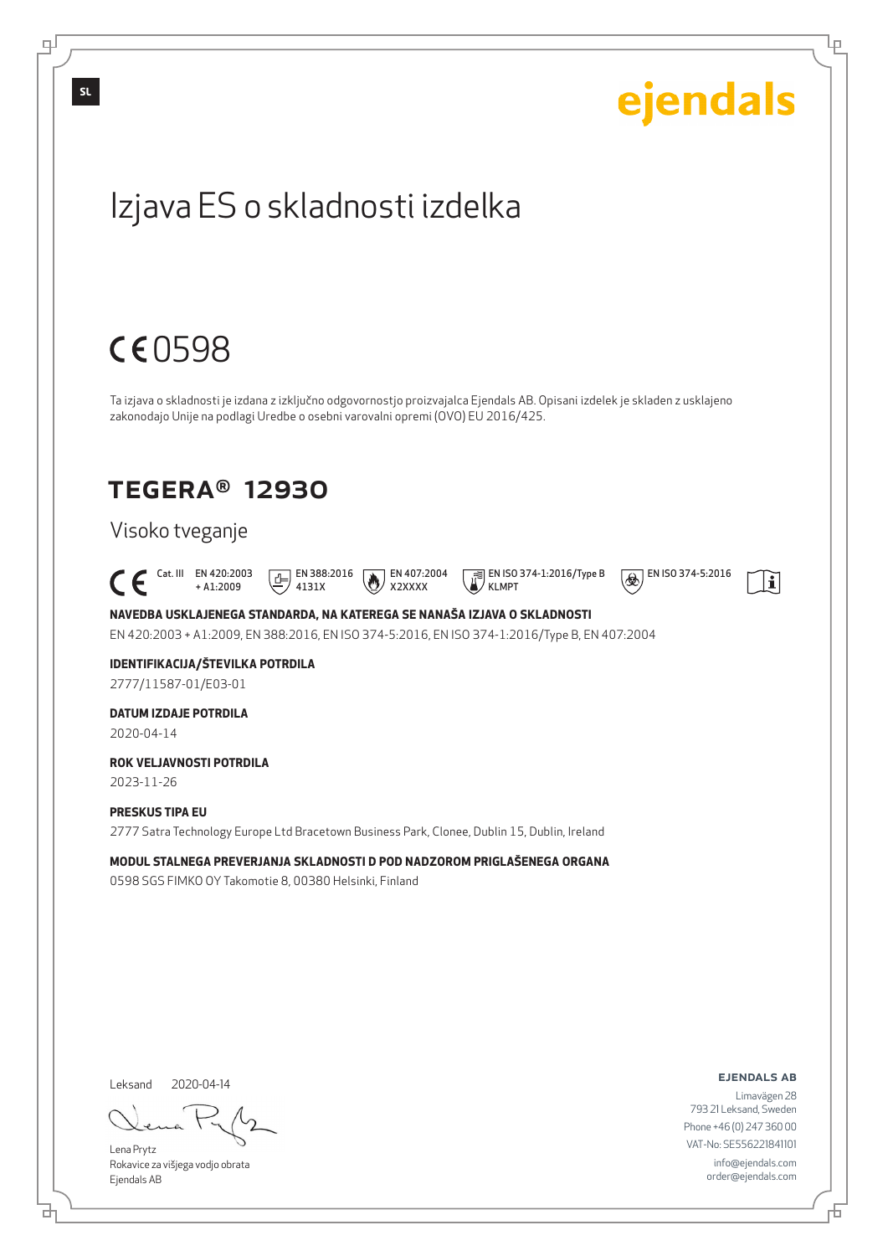

브

Đ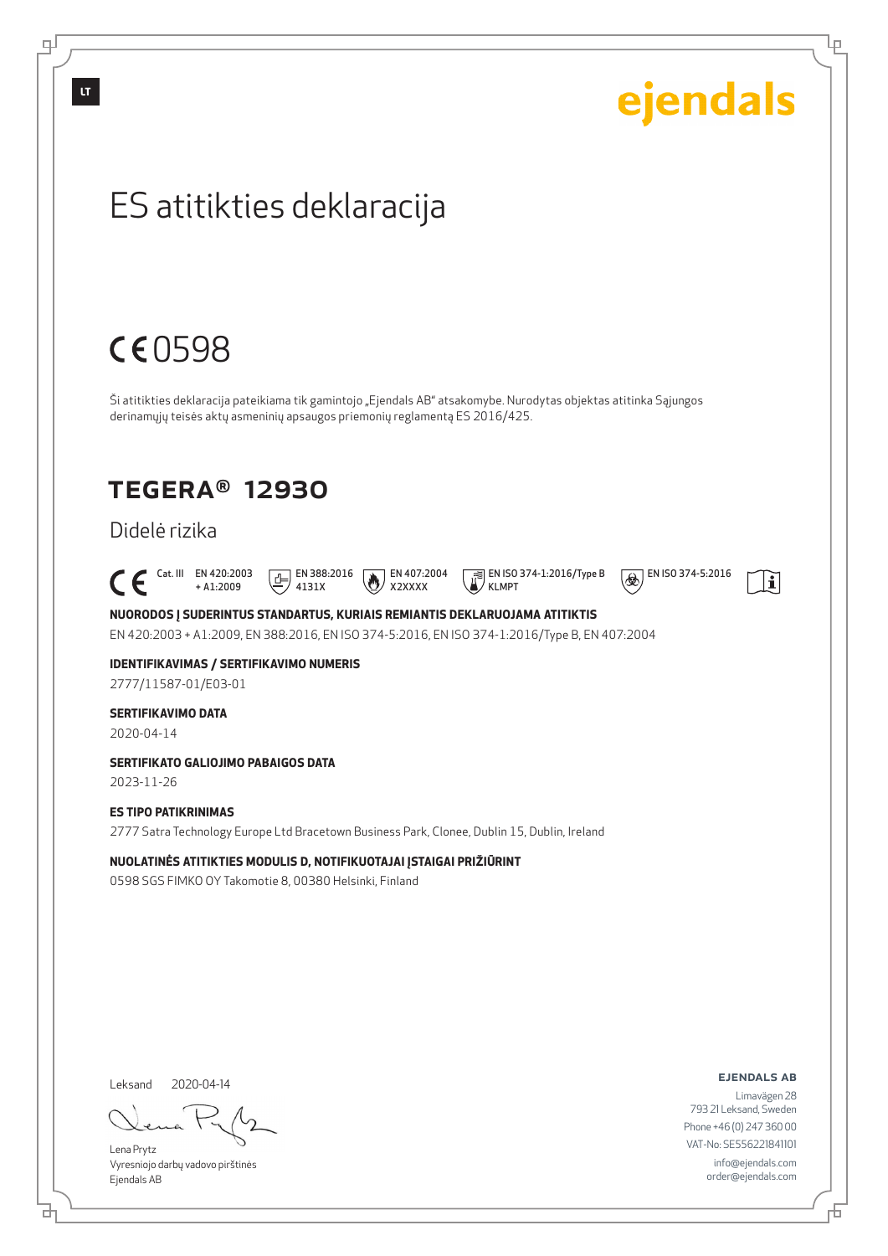$\mathbb{H}$ 

Leksand 2020-04-14

러

f

Lena Prytz Vyresniojo darbų vadovo pirštinės Ejendals AB

ejendals ab

Limavägen 28 793 21 Leksand, Sweden Phone +46 (0) 247 360 00 VAT-No: SE556221841101 info@ejendals.com order@ejendals.com

舌

Ίe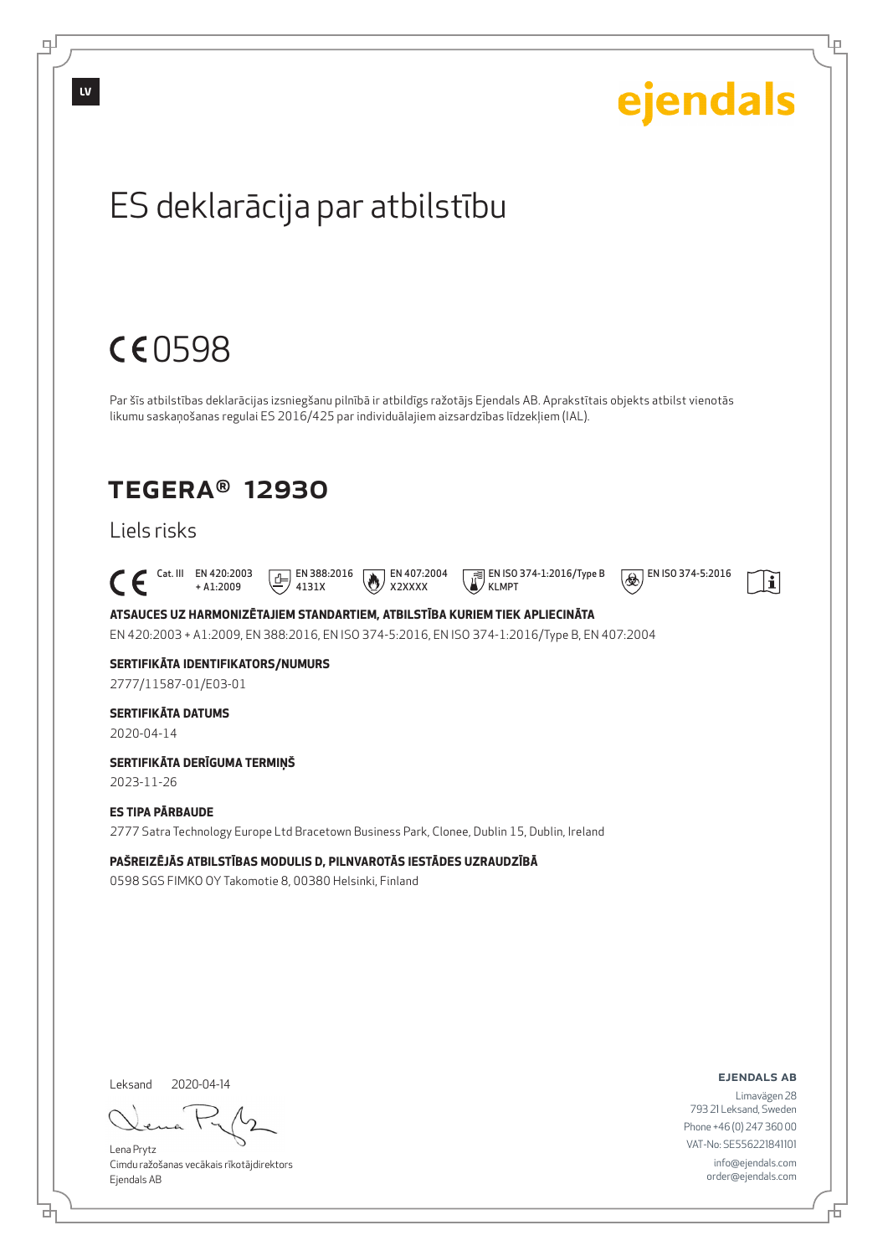

브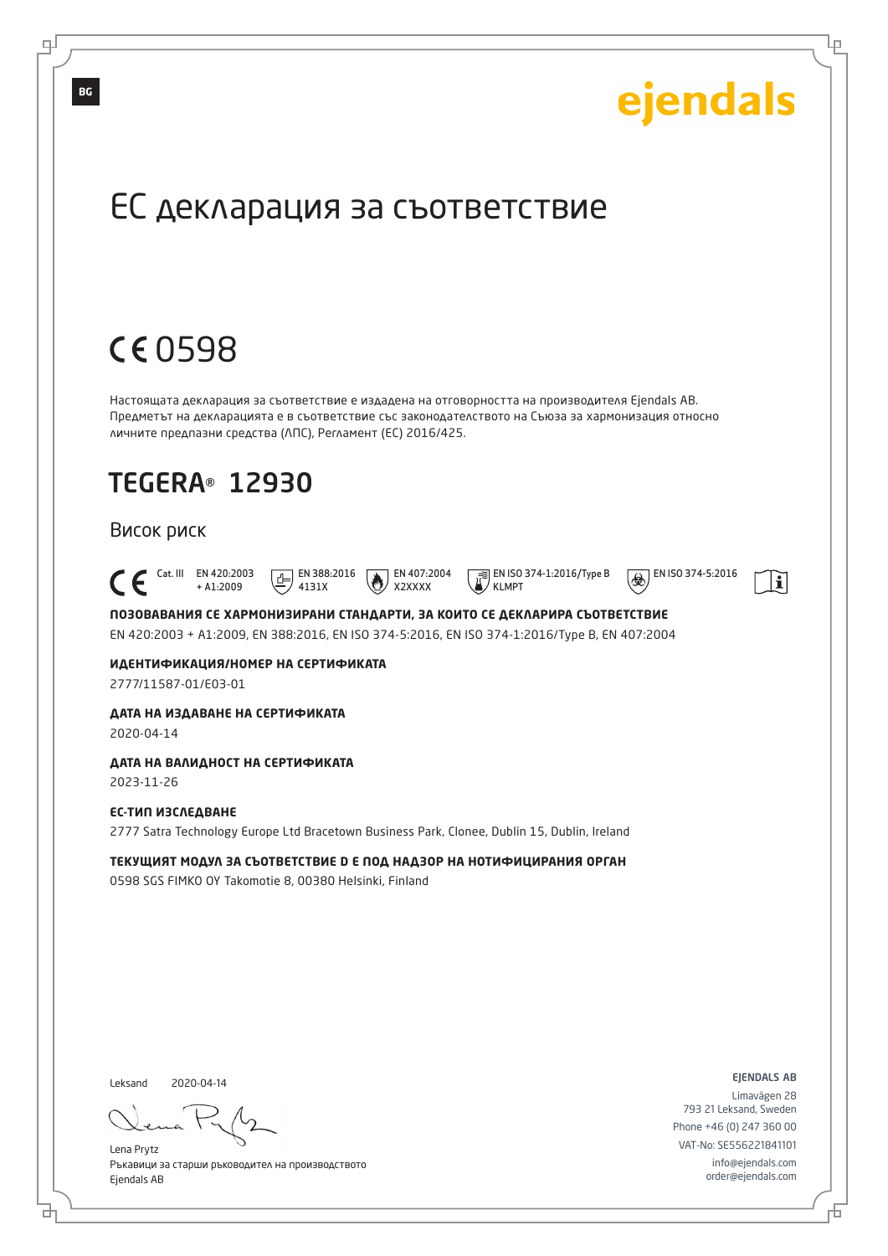

Ръкавици за старши ръководител на производството Ejendals AB

브

டி

info@ejendals.com order@ejendals.com

Б